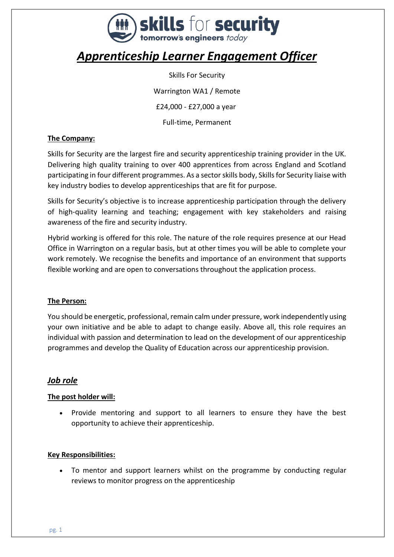

# *Apprenticeship Learner Engagement Officer*

Skills For Security Warrington WA1 / Remote £24,000 - £27,000 a year Full-time, Permanent

#### **The Company:**

Skills for Security are the largest fire and security apprenticeship training provider in the UK. Delivering high quality training to over 400 apprentices from across England and Scotland participating in four different programmes. As a sector skills body, Skills for Security liaise with key industry bodies to develop apprenticeships that are fit for purpose.

Skills for Security's objective is to increase apprenticeship participation through the delivery of high-quality learning and teaching; engagement with key stakeholders and raising awareness of the fire and security industry.

Hybrid working is offered for this role. The nature of the role requires presence at our Head Office in Warrington on a regular basis, but at other times you will be able to complete your work remotely. We recognise the benefits and importance of an environment that supports flexible working and are open to conversations throughout the application process.

#### **The Person:**

You should be energetic, professional, remain calm under pressure, work independently using your own initiative and be able to adapt to change easily. Above all, this role requires an individual with passion and determination to lead on the development of our apprenticeship programmes and develop the Quality of Education across our apprenticeship provision.

## *Job role*

## **The post holder will:**

• Provide mentoring and support to all learners to ensure they have the best opportunity to achieve their apprenticeship.

#### **Key Responsibilities:**

• To mentor and support learners whilst on the programme by conducting regular reviews to monitor progress on the apprenticeship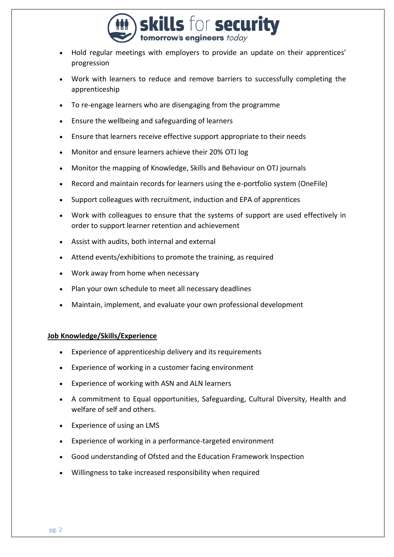

- Hold regular meetings with employers to provide an update on their apprentices' progression
- Work with learners to reduce and remove barriers to successfully completing the apprenticeship
- To re-engage learners who are disengaging from the programme
- Ensure the wellbeing and safeguarding of learners
- Ensure that learners receive effective support appropriate to their needs
- Monitor and ensure learners achieve their 20% OTJ log
- Monitor the mapping of Knowledge, Skills and Behaviour on OTJ journals
- Record and maintain records for learners using the e-portfolio system (OneFile)
- Support colleagues with recruitment, induction and EPA of apprentices
- Work with colleagues to ensure that the systems of support are used effectively in order to support learner retention and achievement
- Assist with audits, both internal and external
- Attend events/exhibitions to promote the training, as required
- Work away from home when necessary
- Plan your own schedule to meet all necessary deadlines
- Maintain, implement, and evaluate your own professional development

#### **Job Knowledge/Skills/Experience**

- Experience of apprenticeship delivery and its requirements
- Experience of working in a customer facing environment
- Experience of working with ASN and ALN learners
- A commitment to Equal opportunities, Safeguarding, Cultural Diversity, Health and welfare of self and others.
- Experience of using an LMS
- Experience of working in a performance-targeted environment
- Good understanding of Ofsted and the Education Framework Inspection
- Willingness to take increased responsibility when required